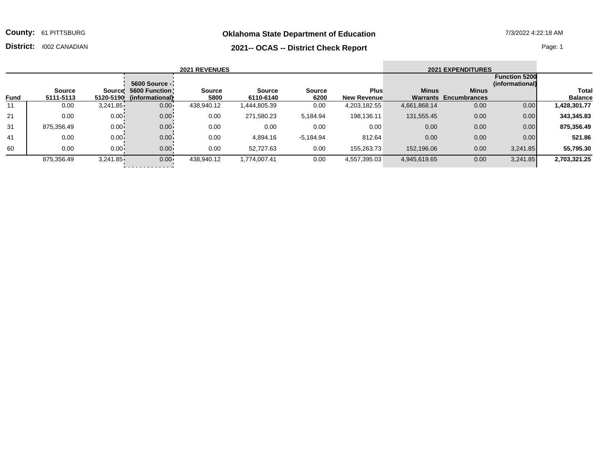**Oklahoma State Department of Education** 7/3/2022 4:22:18 AM

**County:** 61 PITTSBURG

## **2021-- OCAS -- District Check Report District:** I002 CANADIAN Page: 1

| <b>2021 REVENUES</b> |               |          |                           |               |             |               |                    |              | <b>2021 EXPENDITURES</b>     |                                         |                |
|----------------------|---------------|----------|---------------------------|---------------|-------------|---------------|--------------------|--------------|------------------------------|-----------------------------------------|----------------|
|                      |               |          | 5600 Source -             |               |             |               |                    |              |                              | <b>Function 5200</b><br>(informational) |                |
|                      | <b>Source</b> |          | Source! 5600 Function!    | <b>Source</b> | Source      | <b>Source</b> | <b>Plus</b>        | <b>Minus</b> | <b>Minus</b>                 |                                         | Total          |
| <b>Fund</b>          | 5111-5113     |          | 5120-5190 (informational) | 5800          | 6110-6140   | 6200          | <b>New Revenue</b> |              | <b>Warrants Encumbrances</b> |                                         | <b>Balance</b> |
| 11                   | 0.00          | 3,241.85 | $0.00 -$                  | 438,940.12    | .444,805.39 | 0.00          | 4,203,182.55       | 4,661,868.14 | 0.00                         | 0.00                                    | 1,428,301.77   |
| 21                   | 0.00          | $0.00 -$ | $0.00 -$                  | 0.00          | 271,580.23  | 5,184.94      | 198,136.11         | 131,555.45   | 0.00                         | 0.00                                    | 343,345.83     |
| 31                   | 875,356.49    | $0.00 -$ | $0.00 -$                  | 0.00          | 0.00        | 0.00          | 0.00               | 0.00         | 0.00                         | 0.00                                    | 875,356.49     |
| 41                   | 0.00          | $0.00 -$ | $0.00 -$                  | 0.00          | 4,894.16    | $-5,184.94$   | 812.64             | 0.00         | 0.00                         | 0.00                                    | 521.86         |
| 60                   | 0.00          | $0.00 -$ | $0.00 -$                  | 0.00          | 52,727.63   | 0.00          | 155,263.73         | 152,196.06   | 0.00                         | 3,241.85                                | 55,795.30      |

875,356.49 3,241.85 0.00 438,940.12 1,774,007.41 0.00 4,557,395.03 4,945,619.65 0.00 3,241.85 **2,703,321.25**